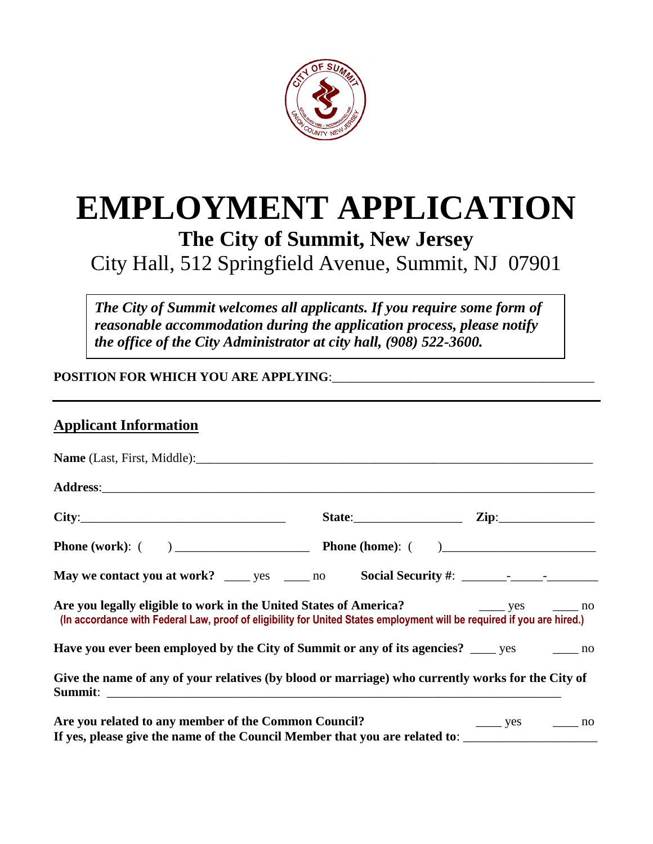

# **EMPLOYMENT APPLICATION The City of Summit, New Jersey**

# City Hall, 512 Springfield Avenue, Summit, NJ 07901

*The City of Summit welcomes all applicants. If you require some form of reasonable accommodation during the application process, please notify the office of the City Administrator at city hall, (908) 522-3600.*

**POSITION FOR WHICH YOU ARE APPLYING**:\_\_\_\_\_\_\_\_\_\_\_\_\_\_\_\_\_\_\_\_\_\_\_\_\_\_\_\_\_\_\_\_\_\_\_\_\_\_\_\_\_

## **Applicant Information**

| City:                                                                                                                                                                                                                      | State: $\qquad \qquad \text{Zip:} \qquad \qquad$ |
|----------------------------------------------------------------------------------------------------------------------------------------------------------------------------------------------------------------------------|--------------------------------------------------|
|                                                                                                                                                                                                                            |                                                  |
|                                                                                                                                                                                                                            |                                                  |
| Are you legally eligible to work in the United States of America? The Manuson States of America?<br>(In accordance with Federal Law, proof of eligibility for United States employment will be required if you are hired.) |                                                  |
| Have you ever been employed by the City of Summit or any of its agencies? ____ yes ______ no                                                                                                                               |                                                  |
| Give the name of any of your relatives (by blood or marriage) who currently works for the City of                                                                                                                          |                                                  |
| Are you related to any member of the Common Council?                                                                                                                                                                       | $\frac{\ }{\ }$ yes $\frac{\ }{\ }$ no           |
| If yes, please give the name of the Council Member that you are related to: __________________________________                                                                                                             |                                                  |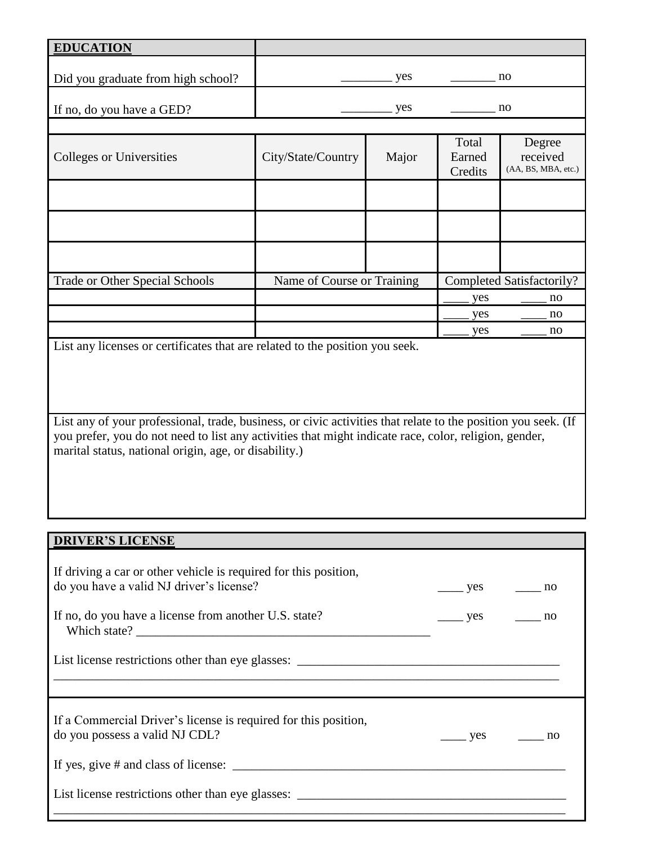| <b>EDUCATION</b>                   |                            |       |                            |                                           |
|------------------------------------|----------------------------|-------|----------------------------|-------------------------------------------|
| Did you graduate from high school? |                            | yes   |                            | no                                        |
| If no, do you have a GED?          |                            | yes   |                            | no                                        |
|                                    |                            |       |                            |                                           |
| Colleges or Universities           | City/State/Country         | Major | Total<br>Earned<br>Credits | Degree<br>received<br>(AA, BS, MBA, etc.) |
|                                    |                            |       |                            |                                           |
|                                    |                            |       |                            |                                           |
|                                    |                            |       |                            |                                           |
| Trade or Other Special Schools     | Name of Course or Training |       |                            | Completed Satisfactorily?                 |
|                                    |                            |       | yes                        | no                                        |
|                                    |                            |       | yes                        | no                                        |
|                                    |                            |       | yes                        | no                                        |

List any licenses or certificates that are related to the position you seek.

List any of your professional, trade, business, or civic activities that relate to the position you seek. (If you prefer, you do not need to list any activities that might indicate race, color, religion, gender, marital status, national origin, age, or disability.)

#### **DRIVER'S LICENSE**

| If driving a car or other vehicle is required for this position,<br>do you have a valid NJ driver's license? | $\frac{\ }{\ }$ yes $\frac{\ }{\ }$ no |               |
|--------------------------------------------------------------------------------------------------------------|----------------------------------------|---------------|
| If no, do you have a license from another U.S. state?                                                        | $\frac{\ }{\ }$ yes $\frac{\ }{\ }$ no |               |
|                                                                                                              |                                        |               |
| If a Commercial Driver's license is required for this position,<br>do you possess a valid NJ CDL?            |                                        | $\mathsf{no}$ |
|                                                                                                              |                                        |               |
| List license restrictions other than eye glasses: _______________________________                            |                                        |               |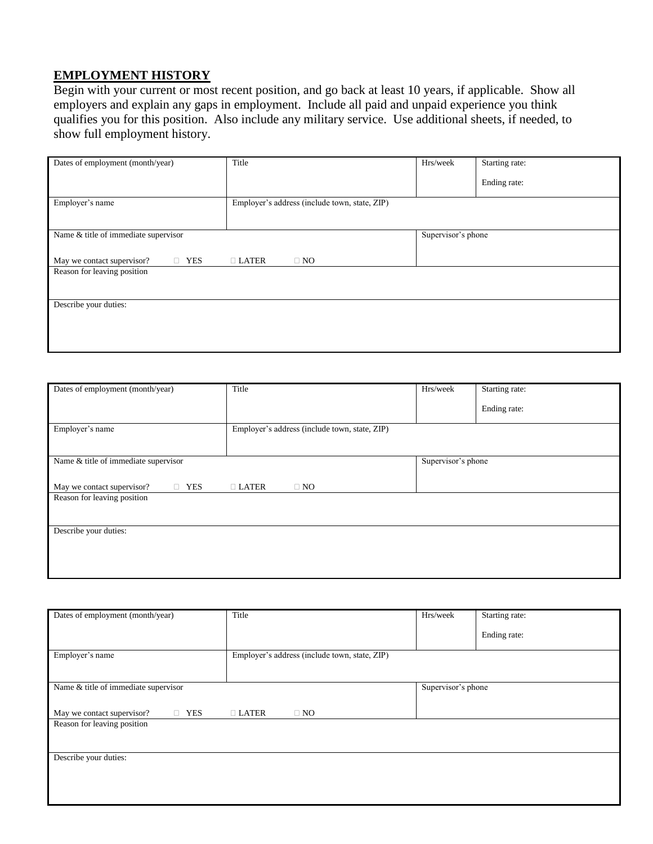#### **EMPLOYMENT HISTORY**

Begin with your current or most recent position, and go back at least 10 years, if applicable. Show all employers and explain any gaps in employment. Include all paid and unpaid experience you think qualifies you for this position. Also include any military service. Use additional sheets, if needed, to show full employment history.

| Dates of employment (month/year)         | Title<br>Hrs/week<br>Starting rate:           |                    |              |  |
|------------------------------------------|-----------------------------------------------|--------------------|--------------|--|
|                                          |                                               |                    | Ending rate: |  |
| Employer's name                          | Employer's address (include town, state, ZIP) |                    |              |  |
| Name & title of immediate supervisor     |                                               | Supervisor's phone |              |  |
| <b>TES</b><br>May we contact supervisor? | $\Box$ LATER<br>$\Box$ NO                     |                    |              |  |
| Reason for leaving position              |                                               |                    |              |  |
| Describe your duties:                    |                                               |                    |              |  |
|                                          |                                               |                    |              |  |

| Dates of employment (month/year)         | Title<br>Hrs/week<br>Starting rate:           |                    |              |  |
|------------------------------------------|-----------------------------------------------|--------------------|--------------|--|
|                                          |                                               |                    | Ending rate: |  |
| Employer's name                          | Employer's address (include town, state, ZIP) |                    |              |  |
|                                          |                                               |                    |              |  |
| Name & title of immediate supervisor     |                                               | Supervisor's phone |              |  |
| $\Box$ YES<br>May we contact supervisor? | $\Box$ LATER<br>$\Box$ NO                     |                    |              |  |
| Reason for leaving position              |                                               |                    |              |  |
|                                          |                                               |                    |              |  |
| Describe your duties:                    |                                               |                    |              |  |
|                                          |                                               |                    |              |  |
|                                          |                                               |                    |              |  |

| Dates of employment (month/year)         | Title<br>Hrs/week<br>Starting rate:           |  |              |  |
|------------------------------------------|-----------------------------------------------|--|--------------|--|
|                                          |                                               |  | Ending rate: |  |
| Employer's name                          | Employer's address (include town, state, ZIP) |  |              |  |
| Name $\&$ title of immediate supervisor  | Supervisor's phone                            |  |              |  |
| $\Box$ YES<br>May we contact supervisor? | $\Box$ LATER<br>$\Box$ NO                     |  |              |  |
| Reason for leaving position              |                                               |  |              |  |
| Describe your duties:                    |                                               |  |              |  |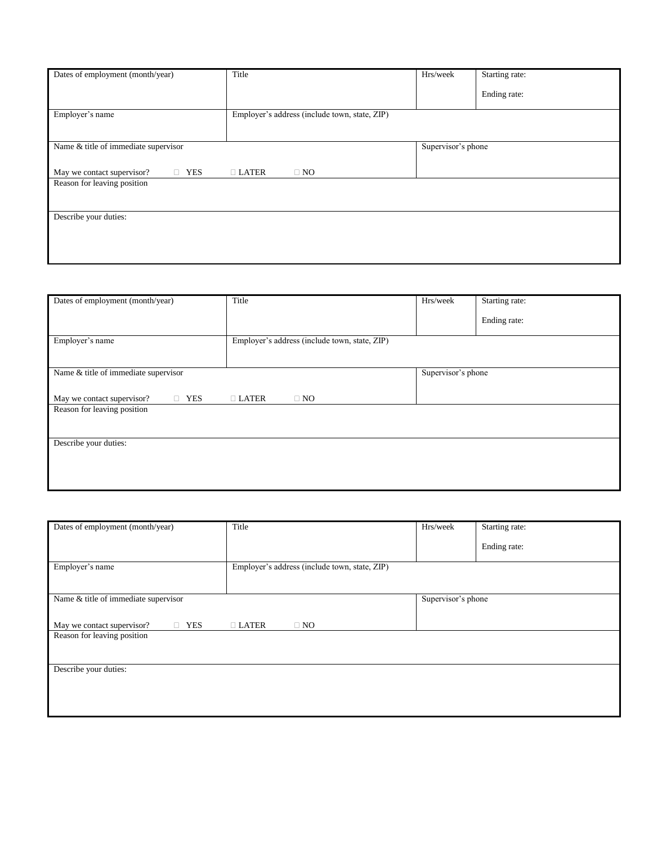| Dates of employment (month/year)         | Title                                         | Hrs/week           | Starting rate: |  |
|------------------------------------------|-----------------------------------------------|--------------------|----------------|--|
|                                          |                                               |                    |                |  |
|                                          |                                               |                    | Ending rate:   |  |
|                                          |                                               |                    |                |  |
|                                          |                                               |                    |                |  |
| Employer's name                          | Employer's address (include town, state, ZIP) |                    |                |  |
|                                          |                                               |                    |                |  |
|                                          |                                               |                    |                |  |
| Name & title of immediate supervisor     |                                               | Supervisor's phone |                |  |
|                                          |                                               |                    |                |  |
|                                          |                                               |                    |                |  |
| $\Box$ YES<br>May we contact supervisor? | $\Box$ LATER<br>$\Box$ NO                     |                    |                |  |
| Reason for leaving position              |                                               |                    |                |  |
|                                          |                                               |                    |                |  |
|                                          |                                               |                    |                |  |
|                                          |                                               |                    |                |  |
| Describe your duties:                    |                                               |                    |                |  |
|                                          |                                               |                    |                |  |
|                                          |                                               |                    |                |  |
|                                          |                                               |                    |                |  |
|                                          |                                               |                    |                |  |
|                                          |                                               |                    |                |  |

| Dates of employment (month/year)         | Title<br>Hrs/week<br>Starting rate:           |                    |              |  |
|------------------------------------------|-----------------------------------------------|--------------------|--------------|--|
|                                          |                                               |                    | Ending rate: |  |
| Employer's name                          | Employer's address (include town, state, ZIP) |                    |              |  |
|                                          |                                               |                    |              |  |
| Name & title of immediate supervisor     |                                               | Supervisor's phone |              |  |
| $\Box$ YES<br>May we contact supervisor? | $\Box$ LATER<br>$\Box$ NO                     |                    |              |  |
| Reason for leaving position              |                                               |                    |              |  |
|                                          |                                               |                    |              |  |
| Describe your duties:                    |                                               |                    |              |  |
|                                          |                                               |                    |              |  |
|                                          |                                               |                    |              |  |

| Dates of employment (month/year)         | Title<br>Hrs/week<br>Starting rate:           |                    |              |  |
|------------------------------------------|-----------------------------------------------|--------------------|--------------|--|
|                                          |                                               |                    | Ending rate: |  |
| Employer's name                          | Employer's address (include town, state, ZIP) |                    |              |  |
|                                          |                                               |                    |              |  |
| Name & title of immediate supervisor     |                                               | Supervisor's phone |              |  |
|                                          |                                               |                    |              |  |
| $\Box$ YES<br>May we contact supervisor? | $\Box$ LATER<br>$\square$ NO                  |                    |              |  |
| Reason for leaving position              |                                               |                    |              |  |
|                                          |                                               |                    |              |  |
| Describe your duties:                    |                                               |                    |              |  |
|                                          |                                               |                    |              |  |
|                                          |                                               |                    |              |  |
|                                          |                                               |                    |              |  |